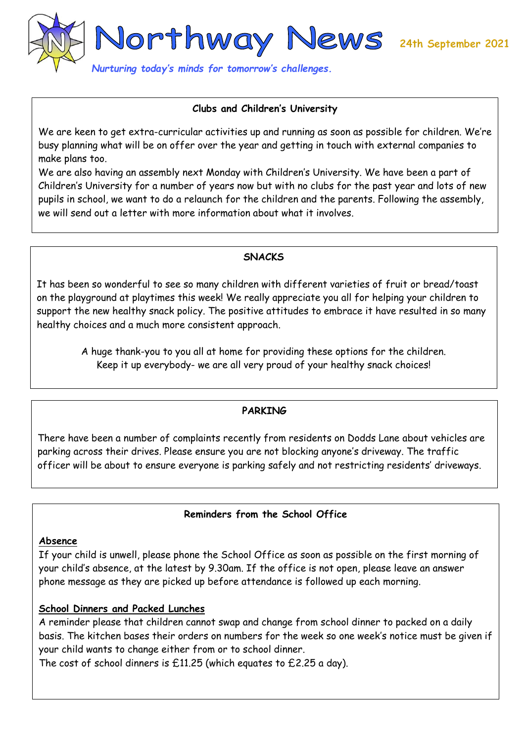

### **Clubs and Children's University**

We are keen to get extra-curricular activities up and running as soon as possible for children. We're busy planning what will be on offer over the year and getting in touch with external companies to make plans too.

We are also having an assembly next Monday with Children's University. We have been a part of Children's University for a number of years now but with no clubs for the past year and lots of new pupils in school, we want to do a relaunch for the children and the parents. Following the assembly, we will send out a letter with more information about what it involves.

### **SNACKS**

It has been so wonderful to see so many children with different varieties of fruit or bread/toast on the playground at playtimes this week! We really appreciate you all for helping your children to support the new healthy snack policy. The positive attitudes to embrace it have resulted in so many healthy choices and a much more consistent approach.

A huge thank-you to you all at home for providing these options for the children. Keep it up everybody- we are all very proud of your healthy snack choices!

# **PARKING**

There have been a number of complaints recently from residents on Dodds Lane about vehicles are parking across their drives. Please ensure you are not blocking anyone's driveway. The traffic officer will be about to ensure everyone is parking safely and not restricting residents' driveways.

# **Reminders from the School Office**

#### **Absence**

If your child is unwell, please phone the School Office as soon as possible on the first morning of your child's absence, at the latest by 9.30am. If the office is not open, please leave an answer phone message as they are picked up before attendance is followed up each morning.

### **School Dinners and Packed Lunches**

A reminder please that children cannot swap and change from school dinner to packed on a daily basis. The kitchen bases their orders on numbers for the week so one week's notice must be given if your child wants to change either from or to school dinner.

The cost of school dinners is £11.25 (which equates to £2.25 a day).